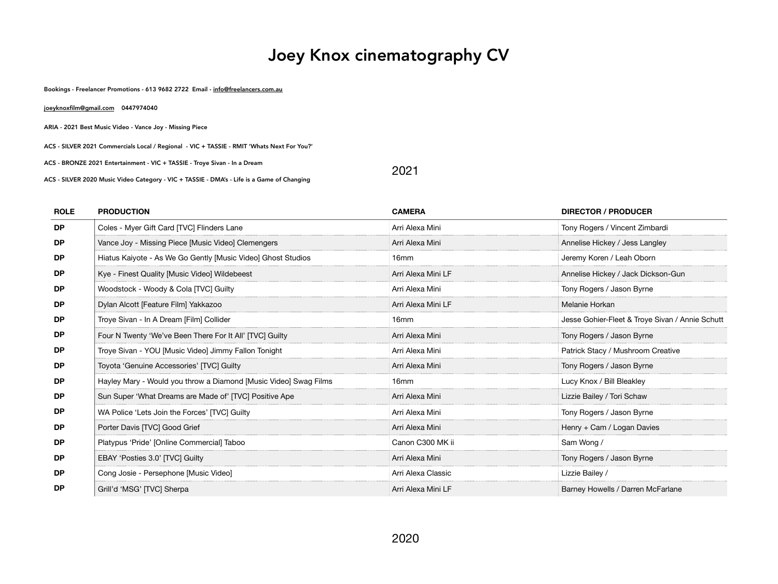# Joey Knox cinematography CV

Bookings - Freelancer Promotions - 613 9682 2722 Email - [info@freelancers.com.au](mailto:info@freelancers.com.au)

| joeyknoxfilm@gmail.com<br>0447974040                                                       |      |  |
|--------------------------------------------------------------------------------------------|------|--|
| ARIA - 2021 Best Music Video - Vance Joy - Missing Piece                                   |      |  |
| ACS - SILVER 2021 Commercials Local / Regional - VIC + TASSIE - RMIT 'Whats Next For You?' |      |  |
| ACS - BRONZE 2021 Entertainment - VIC + TASSIE - Troye Sivan - In a Dream                  | 2021 |  |
| ACS - SILVER 2020 Music Video Category - VIC + TASSIE - DMA's - Life is a Game of Changing |      |  |

| <b>ROLE</b> | <b>PRODUCTION</b>                                                | <b>CAMERA</b>      | <b>DIRECTOR / PRODUCER</b>                      |
|-------------|------------------------------------------------------------------|--------------------|-------------------------------------------------|
| <b>DP</b>   | Coles - Myer Gift Card [TVC] Flinders Lane                       | Arri Alexa Mini    | Tony Rogers / Vincent Zimbardi                  |
| <b>DP</b>   | Vance Joy - Missing Piece [Music Video] Clemengers               | Arri Alexa Mini    | Annelise Hickey / Jess Langley                  |
| <b>DP</b>   | Hiatus Kaiyote - As We Go Gently [Music Video] Ghost Studios     | 16mm               | Jeremy Koren / Leah Oborn                       |
| <b>DP</b>   | Kye - Finest Quality [Music Video] Wildebeest                    | Arri Alexa Mini LF | Annelise Hickey / Jack Dickson-Gun              |
| <b>DP</b>   | Woodstock - Woody & Cola [TVC] Guilty                            | Arri Alexa Mini    | Tony Rogers / Jason Byrne                       |
| <b>DP</b>   | Dylan Alcott [Feature Film] Yakkazoo                             | Arri Alexa Mini LF | Melanie Horkan                                  |
| <b>DP</b>   | Troye Sivan - In A Dream [Film] Collider                         | 16 <sub>mm</sub>   | Jesse Gohier-Fleet & Troye Sivan / Annie Schutt |
| <b>DP</b>   | Four N Twenty 'We've Been There For It All' [TVC] Guilty         | Arri Alexa Mini    | Tony Rogers / Jason Byrne                       |
| <b>DP</b>   | Troye Sivan - YOU [Music Video] Jimmy Fallon Tonight             | Arri Alexa Mini    | Patrick Stacy / Mushroom Creative               |
| <b>DP</b>   | Toyota 'Genuine Accessories' [TVC] Guilty                        | Arri Alexa Mini    | Tony Rogers / Jason Byrne                       |
| <b>DP</b>   | Hayley Mary - Would you throw a Diamond [Music Video] Swag Films | 16mm               | Lucy Knox / Bill Bleakley                       |
| <b>DP</b>   | Sun Super 'What Dreams are Made of' [TVC] Positive Ape           | Arri Alexa Mini    | Lizzie Bailey / Tori Schaw                      |
| <b>DP</b>   | WA Police 'Lets Join the Forces' [TVC] Guilty                    | Arri Alexa Mini    | Tony Rogers / Jason Byrne                       |
| <b>DP</b>   | Porter Davis [TVC] Good Grief                                    | Arri Alexa Mini    | Henry + Cam / Logan Davies                      |
| <b>DP</b>   | Platypus 'Pride' [Online Commercial] Taboo                       | Canon C300 MK ii   | Sam Wong /                                      |
| <b>DP</b>   | EBAY 'Posties 3.0' [TVC] Guilty                                  | Arri Alexa Mini    | Tony Rogers / Jason Byrne                       |
| <b>DP</b>   | Cong Josie - Persephone [Music Video]                            | Arri Alexa Classic | Lizzie Bailey /                                 |
| <b>DP</b>   | Grill'd 'MSG' [TVC] Sherpa                                       | Arri Alexa Mini LF | Barney Howells / Darren McFarlane               |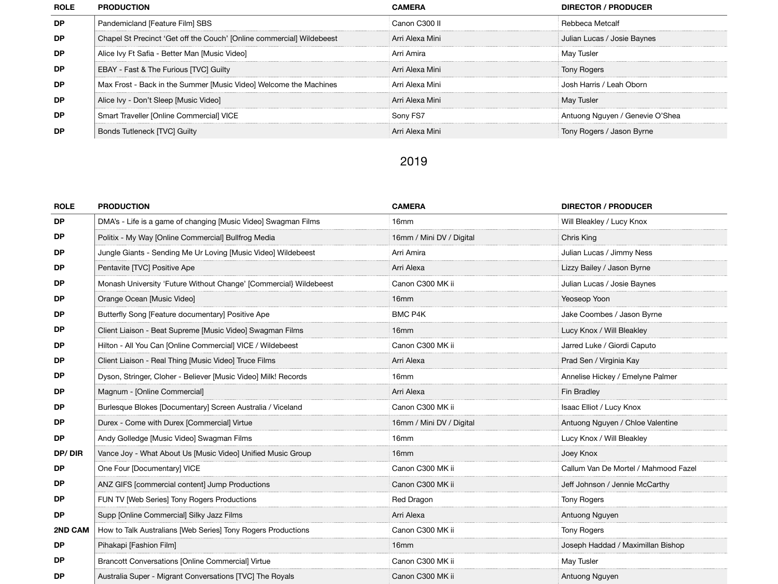| <b>ROLE</b> | <b>PRODUCTION</b>                                                     | CAMERA            | <b>DIRECTOR / PRODUCER</b>      |
|-------------|-----------------------------------------------------------------------|-------------------|---------------------------------|
| <b>DP</b>   | Pandemicland [Feature Film] SBS                                       | Canon C300 II     | Rebbeca Metcalf                 |
| <b>DP</b>   | Chapel St Precinct 'Get off the Couch' [Online commercial] Wildebeest | - Arri Alexa Mini | Julian Lucas / Josie Baynes     |
| <b>DP</b>   | Alice Ivy Ft Safia - Better Man [Music Video]                         | Arri Amira        | May Tusler                      |
| <b>DP</b>   | EBAY - Fast & The Furious [TVC] Guilty                                | Arri Alexa Mini   | Tony Rogers                     |
| <b>DP</b>   | Max Frost - Back in the Summer [Music Video] Welcome the Machines     | Arri Alexa Mini   | Josh Harris / Leah Oborn        |
| <b>DP</b>   | Alice Ivy - Don't Sleep [Music Video]                                 | Arri Alexa Mini   | <b>May Tusler</b>               |
| <b>DP</b>   | Smart Traveller [Online Commercial] VICE                              | Sony FS7          | Antuong Nguyen / Genevie O'Shea |
| DP          | Bonds Tutleneck [TVC] Guilty                                          | Arri Alexa Mini   | Tony Rogers / Jason Byrne       |

## 2019

| <b>ROLE</b> | <b>PRODUCTION</b>                                                 | <b>CAMERA</b>            | <b>DIRECTOR / PRODUCER</b>           |
|-------------|-------------------------------------------------------------------|--------------------------|--------------------------------------|
| <b>DP</b>   | DMA's - Life is a game of changing [Music Video] Swagman Films    | 16mm                     | Will Bleakley / Lucy Knox            |
| <b>DP</b>   | Politix - My Way [Online Commercial] Bullfrog Media               | 16mm / Mini DV / Digital | Chris King                           |
| <b>DP</b>   | Jungle Giants - Sending Me Ur Loving [Music Video] Wildebeest     | Arri Amira               | Julian Lucas / Jimmy Ness            |
| DP.         | Pentavite [TVC] Positive Ape                                      | Arri Alexa               | Lizzy Bailey / Jason Byrne           |
| <b>DP</b>   | Monash University 'Future Without Change' [Commercial] Wildebeest | Canon C300 MK ii         | Julian Lucas / Josie Baynes          |
| <b>DP</b>   | Orange Ocean [Music Video]                                        | 16mm                     | Yeoseop Yoon                         |
| <b>DP</b>   | Butterfly Song [Feature documentary] Positive Ape                 | <b>BMC P4K</b>           | Jake Coombes / Jason Byrne           |
| <b>DP</b>   | Client Liaison - Beat Supreme [Music Video] Swagman Films         | 16mm                     | Lucy Knox / Will Bleakley            |
| <b>DP</b>   | Hilton - All You Can [Online Commercial] VICE / Wildebeest        | Canon C300 MK ii         | Jarred Luke / Giordi Caputo          |
| DP.         | Client Liaison - Real Thing [Music Video] Truce Films             | Arri Alexa               | Prad Sen / Virginia Kay              |
| <b>DP</b>   | Dyson, Stringer, Cloher - Believer [Music Video] Milk! Records    | 16mm                     | Annelise Hickey / Emelyne Palmer     |
| <b>DP</b>   | Magnum - [Online Commercial]                                      | Arri Alexa               | Fin Bradley                          |
| <b>DP</b>   | Burlesque Blokes [Documentary] Screen Australia / Viceland        | Canon C300 MK ii         | Isaac Elliot / Lucy Knox             |
| <b>DP</b>   | Durex - Come with Durex [Commercial] Virtue                       | 16mm / Mini DV / Digital | Antuong Nguyen / Chloe Valentine     |
| <b>DP</b>   | Andy Golledge [Music Video] Swagman Films                         | 16mm                     | Lucy Knox / Will Bleakley            |
| DP/DIR      | Vance Joy - What About Us [Music Video] Unified Music Group       | 16mm                     | Joey Knox                            |
| <b>DP</b>   | One Four [Documentary] VICE                                       | Canon C300 MK ii         | Callum Van De Mortel / Mahmood Fazel |
| <b>DP</b>   | ANZ GIFS [commercial content] Jump Productions                    | Canon C300 MK ii         | Jeff Johnson / Jennie McCarthy       |
| <b>DP</b>   | FUN TV [Web Series] Tony Rogers Productions                       | Red Dragon               | <b>Tony Rogers</b>                   |
| <b>DP</b>   | Supp [Online Commercial] Silky Jazz Films                         | Arri Alexa               | Antuong Nguyen                       |
| 2ND CAM     | How to Talk Australians [Web Series] Tony Rogers Productions      | Canon C300 MK ii         | <b>Tony Rogers</b>                   |
| <b>DP</b>   | Pihakapi [Fashion Film]                                           | 16mm                     | Joseph Haddad / Maximillan Bishop    |
| DP.         | <b>Brancott Conversations [Online Commercial] Virtue</b>          | Canon C300 MK ii         | May Tusler                           |
| DP          | Australia Super - Migrant Conversations [TVC] The Royals          | Canon C300 MK ii         | Antuong Nguyen                       |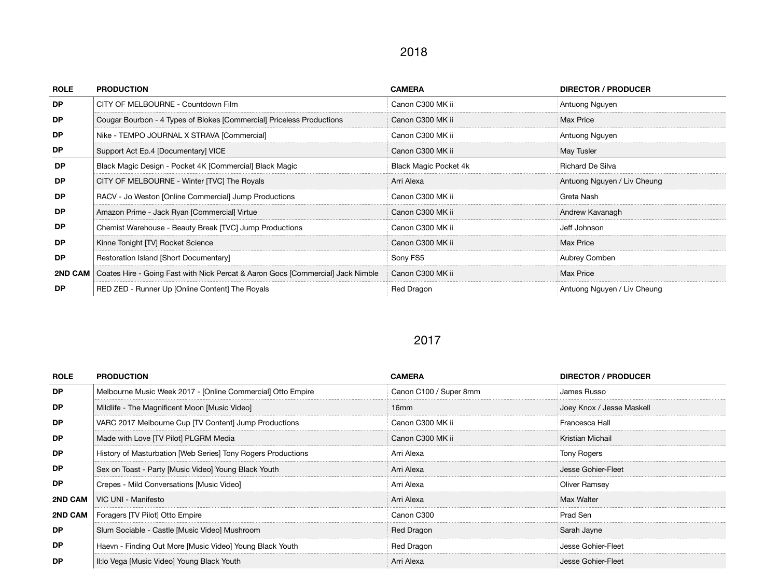#### 2018

| <b>ROLE</b> | <b>PRODUCTION</b>                                                                         | <b>CAMERA</b>                | <b>DIRECTOR / PRODUCER</b>  |
|-------------|-------------------------------------------------------------------------------------------|------------------------------|-----------------------------|
| <b>DP</b>   | CITY OF MELBOURNE - Countdown Film                                                        | Canon C300 MK ii             | Antuong Nguyen              |
| <b>DP</b>   | Cougar Bourbon - 4 Types of Blokes [Commercial] Priceless Productions                     | Canon C300 MK ii             | Max Price                   |
| <b>DP</b>   | Nike - TEMPO JOURNAL X STRAVA [Commercial]                                                | Canon C300 MK ii             | Antuong Nguyen              |
| <b>DP</b>   | Support Act Ep.4 [Documentary] VICE                                                       | Canon C300 MK ii             | May Tusler                  |
| <b>DP</b>   | Black Magic Design - Pocket 4K [Commercial] Black Magic                                   | <b>Black Magic Pocket 4k</b> | Richard De Silva            |
| DP.         | CITY OF MELBOURNE - Winter [TVC] The Royals                                               | Arri Alexa                   | Antuong Nguyen / Liv Cheung |
| DP.         | RACV - Jo Weston [Online Commercial] Jump Productions                                     | Canon C300 MK ii             | Greta Nash                  |
| <b>DP</b>   | Amazon Prime - Jack Ryan [Commercial] Virtue                                              | Canon C300 MK ii             | Andrew Kavanagh             |
| DP.         | Chemist Warehouse - Beauty Break [TVC] Jump Productions                                   | Canon C300 MK ii             | Jeff Johnson                |
| DP          | Kinne Tonight [TV] Rocket Science                                                         | Canon C300 MK ii             | Max Price                   |
| <b>DP</b>   | Restoration Island [Short Documentary]                                                    | Sony FS5                     | Aubrey Comben               |
|             | 2ND CAM   Coates Hire - Going Fast with Nick Percat & Aaron Gocs [Commercial] Jack Nimble | Canon C300 MK ii             | Max Price                   |
| DP          | RED ZED - Runner Up [Online Content] The Royals                                           | <b>Red Dragon</b>            | Antuong Nguyen / Liv Cheung |

#### 2017

| <b>ROLE</b> | <b>PRODUCTION</b>                                            | <b>CAMERA</b>          | <b>DIRECTOR / PRODUCER</b> |
|-------------|--------------------------------------------------------------|------------------------|----------------------------|
| DP.         | Melbourne Music Week 2017 - [Online Commercial] Otto Empire  | Canon C100 / Super 8mm | James Russo                |
| <b>DP</b>   | Mildlife - The Magnificent Moon [Music Video]                | 16mm                   | Joey Knox / Jesse Maskell  |
| <b>DP</b>   | VARC 2017 Melbourne Cup [TV Content] Jump Productions        | Canon C300 MK ii       | Francesca Hall             |
| <b>DP</b>   | Made with Love [TV Pilot] PLGRM Media                        | Canon C300 MK ii       | Kristian Michail           |
| <b>DP</b>   | History of Masturbation [Web Series] Tony Rogers Productions | Arri Alexa             | Tony Rogers                |
| DP.         | Sex on Toast - Party [Music Video] Young Black Youth         | Arri Alexa             | Jesse Gohier-Fleet         |
| DP.         | Crepes - Mild Conversations [Music Video]                    | Arri Alexa             | Oliver Ramsey              |
| 2ND CAM     | VIC UNI - Manifesto                                          | Arri Alexa             | Max Walter                 |
| 2ND CAM     | Foragers [TV Pilot] Otto Empire                              | Canon C300             | Prad Sen                   |
| <b>DP</b>   | Slum Sociable - Castle [Music Video] Mushroom                | Red Dragon             | Sarah Jayne                |
| DP.         | Haevn - Finding Out More [Music Video] Young Black Youth     | Red Dragon             | Jesse Gohier-Fleet         |
| DP.         | II: lo Vega [Music Video] Young Black Youth                  | Arri Alexa             | Jesse Gohier-Fleet         |